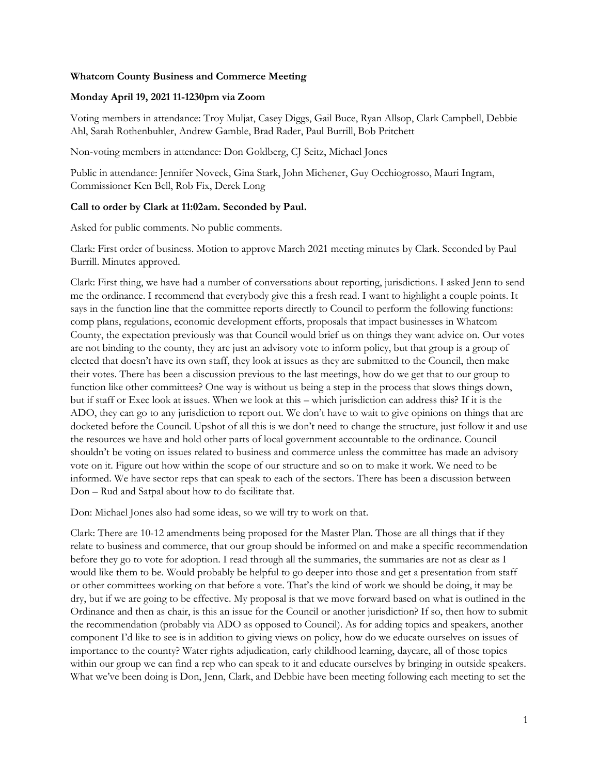## **Whatcom County Business and Commerce Meeting**

## **Monday April 19, 2021 11-1230pm via Zoom**

Voting members in attendance: Troy Muljat, Casey Diggs, Gail Buce, Ryan Allsop, Clark Campbell, Debbie Ahl, Sarah Rothenbuhler, Andrew Gamble, Brad Rader, Paul Burrill, Bob Pritchett

Non-voting members in attendance: Don Goldberg, CJ Seitz, Michael Jones

Public in attendance: Jennifer Noveck, Gina Stark, John Michener, Guy Occhiogrosso, Mauri Ingram, Commissioner Ken Bell, Rob Fix, Derek Long

## **Call to order by Clark at 11:02am. Seconded by Paul.**

Asked for public comments. No public comments.

Clark: First order of business. Motion to approve March 2021 meeting minutes by Clark. Seconded by Paul Burrill. Minutes approved.

Clark: First thing, we have had a number of conversations about reporting, jurisdictions. I asked Jenn to send me the ordinance. I recommend that everybody give this a fresh read. I want to highlight a couple points. It says in the function line that the committee reports directly to Council to perform the following functions: comp plans, regulations, economic development efforts, proposals that impact businesses in Whatcom County, the expectation previously was that Council would brief us on things they want advice on. Our votes are not binding to the county, they are just an advisory vote to inform policy, but that group is a group of elected that doesn't have its own staff, they look at issues as they are submitted to the Council, then make their votes. There has been a discussion previous to the last meetings, how do we get that to our group to function like other committees? One way is without us being a step in the process that slows things down, but if staff or Exec look at issues. When we look at this – which jurisdiction can address this? If it is the ADO, they can go to any jurisdiction to report out. We don't have to wait to give opinions on things that are docketed before the Council. Upshot of all this is we don't need to change the structure, just follow it and use the resources we have and hold other parts of local government accountable to the ordinance. Council shouldn't be voting on issues related to business and commerce unless the committee has made an advisory vote on it. Figure out how within the scope of our structure and so on to make it work. We need to be informed. We have sector reps that can speak to each of the sectors. There has been a discussion between Don – Rud and Satpal about how to do facilitate that.

Don: Michael Jones also had some ideas, so we will try to work on that.

Clark: There are 10-12 amendments being proposed for the Master Plan. Those are all things that if they relate to business and commerce, that our group should be informed on and make a specific recommendation before they go to vote for adoption. I read through all the summaries, the summaries are not as clear as I would like them to be. Would probably be helpful to go deeper into those and get a presentation from staff or other committees working on that before a vote. That's the kind of work we should be doing, it may be dry, but if we are going to be effective. My proposal is that we move forward based on what is outlined in the Ordinance and then as chair, is this an issue for the Council or another jurisdiction? If so, then how to submit the recommendation (probably via ADO as opposed to Council). As for adding topics and speakers, another component I'd like to see is in addition to giving views on policy, how do we educate ourselves on issues of importance to the county? Water rights adjudication, early childhood learning, daycare, all of those topics within our group we can find a rep who can speak to it and educate ourselves by bringing in outside speakers. What we've been doing is Don, Jenn, Clark, and Debbie have been meeting following each meeting to set the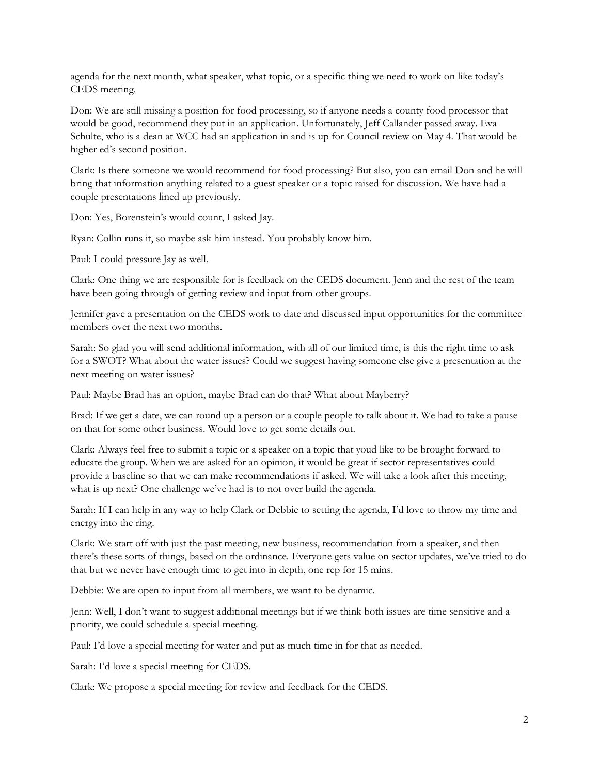agenda for the next month, what speaker, what topic, or a specific thing we need to work on like today's CEDS meeting.

Don: We are still missing a position for food processing, so if anyone needs a county food processor that would be good, recommend they put in an application. Unfortunately, Jeff Callander passed away. Eva Schulte, who is a dean at WCC had an application in and is up for Council review on May 4. That would be higher ed's second position.

Clark: Is there someone we would recommend for food processing? But also, you can email Don and he will bring that information anything related to a guest speaker or a topic raised for discussion. We have had a couple presentations lined up previously.

Don: Yes, Borenstein's would count, I asked Jay.

Ryan: Collin runs it, so maybe ask him instead. You probably know him.

Paul: I could pressure Jay as well.

Clark: One thing we are responsible for is feedback on the CEDS document. Jenn and the rest of the team have been going through of getting review and input from other groups.

Jennifer gave a presentation on the CEDS work to date and discussed input opportunities for the committee members over the next two months.

Sarah: So glad you will send additional information, with all of our limited time, is this the right time to ask for a SWOT? What about the water issues? Could we suggest having someone else give a presentation at the next meeting on water issues?

Paul: Maybe Brad has an option, maybe Brad can do that? What about Mayberry?

Brad: If we get a date, we can round up a person or a couple people to talk about it. We had to take a pause on that for some other business. Would love to get some details out.

Clark: Always feel free to submit a topic or a speaker on a topic that youd like to be brought forward to educate the group. When we are asked for an opinion, it would be great if sector representatives could provide a baseline so that we can make recommendations if asked. We will take a look after this meeting, what is up next? One challenge we've had is to not over build the agenda.

Sarah: If I can help in any way to help Clark or Debbie to setting the agenda, I'd love to throw my time and energy into the ring.

Clark: We start off with just the past meeting, new business, recommendation from a speaker, and then there's these sorts of things, based on the ordinance. Everyone gets value on sector updates, we've tried to do that but we never have enough time to get into in depth, one rep for 15 mins.

Debbie: We are open to input from all members, we want to be dynamic.

Jenn: Well, I don't want to suggest additional meetings but if we think both issues are time sensitive and a priority, we could schedule a special meeting.

Paul: I'd love a special meeting for water and put as much time in for that as needed.

Sarah: I'd love a special meeting for CEDS.

Clark: We propose a special meeting for review and feedback for the CEDS.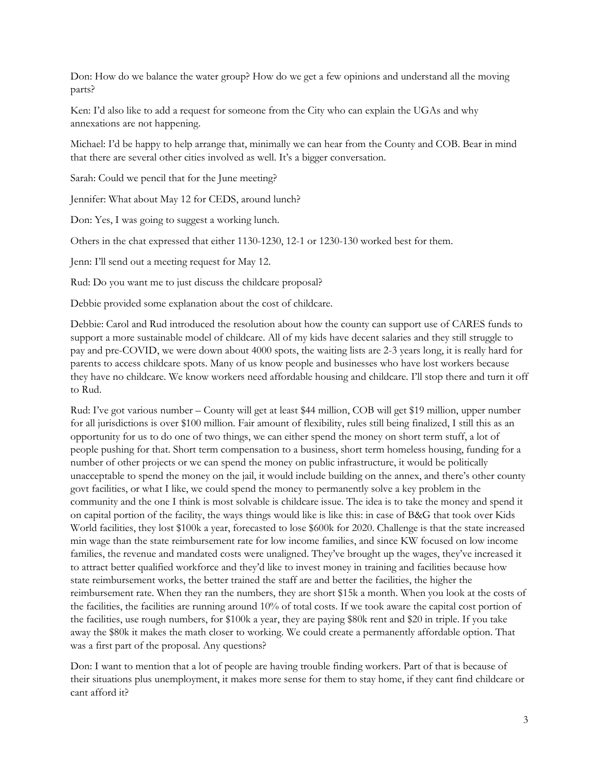Don: How do we balance the water group? How do we get a few opinions and understand all the moving parts?

Ken: I'd also like to add a request for someone from the City who can explain the UGAs and why annexations are not happening.

Michael: I'd be happy to help arrange that, minimally we can hear from the County and COB. Bear in mind that there are several other cities involved as well. It's a bigger conversation.

Sarah: Could we pencil that for the June meeting?

Jennifer: What about May 12 for CEDS, around lunch?

Don: Yes, I was going to suggest a working lunch.

Others in the chat expressed that either 1130-1230, 12-1 or 1230-130 worked best for them.

Jenn: I'll send out a meeting request for May 12.

Rud: Do you want me to just discuss the childcare proposal?

Debbie provided some explanation about the cost of childcare.

Debbie: Carol and Rud introduced the resolution about how the county can support use of CARES funds to support a more sustainable model of childcare. All of my kids have decent salaries and they still struggle to pay and pre-COVID, we were down about 4000 spots, the waiting lists are 2-3 years long, it is really hard for parents to access childcare spots. Many of us know people and businesses who have lost workers because they have no childcare. We know workers need affordable housing and childcare. I'll stop there and turn it off to Rud.

Rud: I've got various number – County will get at least \$44 million, COB will get \$19 million, upper number for all jurisdictions is over \$100 million. Fair amount of flexibility, rules still being finalized, I still this as an opportunity for us to do one of two things, we can either spend the money on short term stuff, a lot of people pushing for that. Short term compensation to a business, short term homeless housing, funding for a number of other projects or we can spend the money on public infrastructure, it would be politically unacceptable to spend the money on the jail, it would include building on the annex, and there's other county govt facilities, or what I like, we could spend the money to permanently solve a key problem in the community and the one I think is most solvable is childcare issue. The idea is to take the money and spend it on capital portion of the facility, the ways things would like is like this: in case of B&G that took over Kids World facilities, they lost \$100k a year, forecasted to lose \$600k for 2020. Challenge is that the state increased min wage than the state reimbursement rate for low income families, and since KW focused on low income families, the revenue and mandated costs were unaligned. They've brought up the wages, they've increased it to attract better qualified workforce and they'd like to invest money in training and facilities because how state reimbursement works, the better trained the staff are and better the facilities, the higher the reimbursement rate. When they ran the numbers, they are short \$15k a month. When you look at the costs of the facilities, the facilities are running around 10% of total costs. If we took aware the capital cost portion of the facilities, use rough numbers, for \$100k a year, they are paying \$80k rent and \$20 in triple. If you take away the \$80k it makes the math closer to working. We could create a permanently affordable option. That was a first part of the proposal. Any questions?

Don: I want to mention that a lot of people are having trouble finding workers. Part of that is because of their situations plus unemployment, it makes more sense for them to stay home, if they cant find childcare or cant afford it?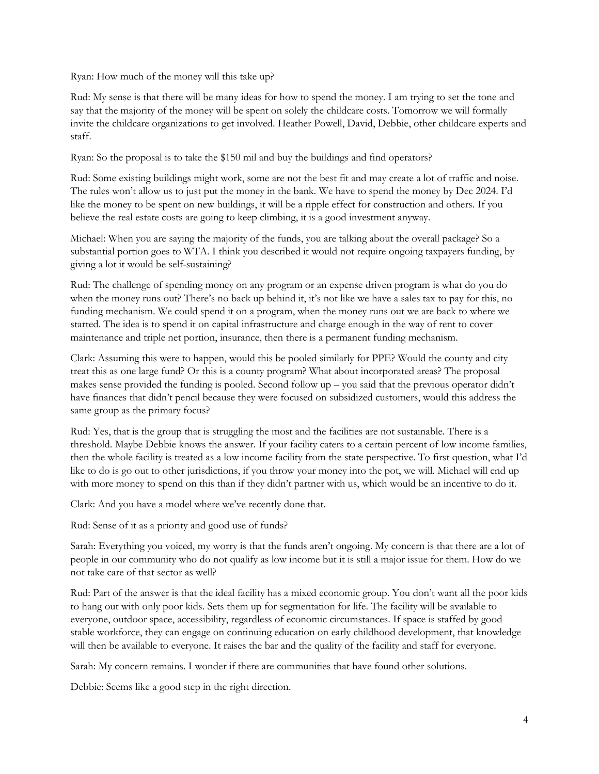Ryan: How much of the money will this take up?

Rud: My sense is that there will be many ideas for how to spend the money. I am trying to set the tone and say that the majority of the money will be spent on solely the childcare costs. Tomorrow we will formally invite the childcare organizations to get involved. Heather Powell, David, Debbie, other childcare experts and staff.

Ryan: So the proposal is to take the \$150 mil and buy the buildings and find operators?

Rud: Some existing buildings might work, some are not the best fit and may create a lot of traffic and noise. The rules won't allow us to just put the money in the bank. We have to spend the money by Dec 2024. I'd like the money to be spent on new buildings, it will be a ripple effect for construction and others. If you believe the real estate costs are going to keep climbing, it is a good investment anyway.

Michael: When you are saying the majority of the funds, you are talking about the overall package? So a substantial portion goes to WTA. I think you described it would not require ongoing taxpayers funding, by giving a lot it would be self-sustaining?

Rud: The challenge of spending money on any program or an expense driven program is what do you do when the money runs out? There's no back up behind it, it's not like we have a sales tax to pay for this, no funding mechanism. We could spend it on a program, when the money runs out we are back to where we started. The idea is to spend it on capital infrastructure and charge enough in the way of rent to cover maintenance and triple net portion, insurance, then there is a permanent funding mechanism.

Clark: Assuming this were to happen, would this be pooled similarly for PPE? Would the county and city treat this as one large fund? Or this is a county program? What about incorporated areas? The proposal makes sense provided the funding is pooled. Second follow up – you said that the previous operator didn't have finances that didn't pencil because they were focused on subsidized customers, would this address the same group as the primary focus?

Rud: Yes, that is the group that is struggling the most and the facilities are not sustainable. There is a threshold. Maybe Debbie knows the answer. If your facility caters to a certain percent of low income families, then the whole facility is treated as a low income facility from the state perspective. To first question, what I'd like to do is go out to other jurisdictions, if you throw your money into the pot, we will. Michael will end up with more money to spend on this than if they didn't partner with us, which would be an incentive to do it.

Clark: And you have a model where we've recently done that.

Rud: Sense of it as a priority and good use of funds?

Sarah: Everything you voiced, my worry is that the funds aren't ongoing. My concern is that there are a lot of people in our community who do not qualify as low income but it is still a major issue for them. How do we not take care of that sector as well?

Rud: Part of the answer is that the ideal facility has a mixed economic group. You don't want all the poor kids to hang out with only poor kids. Sets them up for segmentation for life. The facility will be available to everyone, outdoor space, accessibility, regardless of economic circumstances. If space is staffed by good stable workforce, they can engage on continuing education on early childhood development, that knowledge will then be available to everyone. It raises the bar and the quality of the facility and staff for everyone.

Sarah: My concern remains. I wonder if there are communities that have found other solutions.

Debbie: Seems like a good step in the right direction.